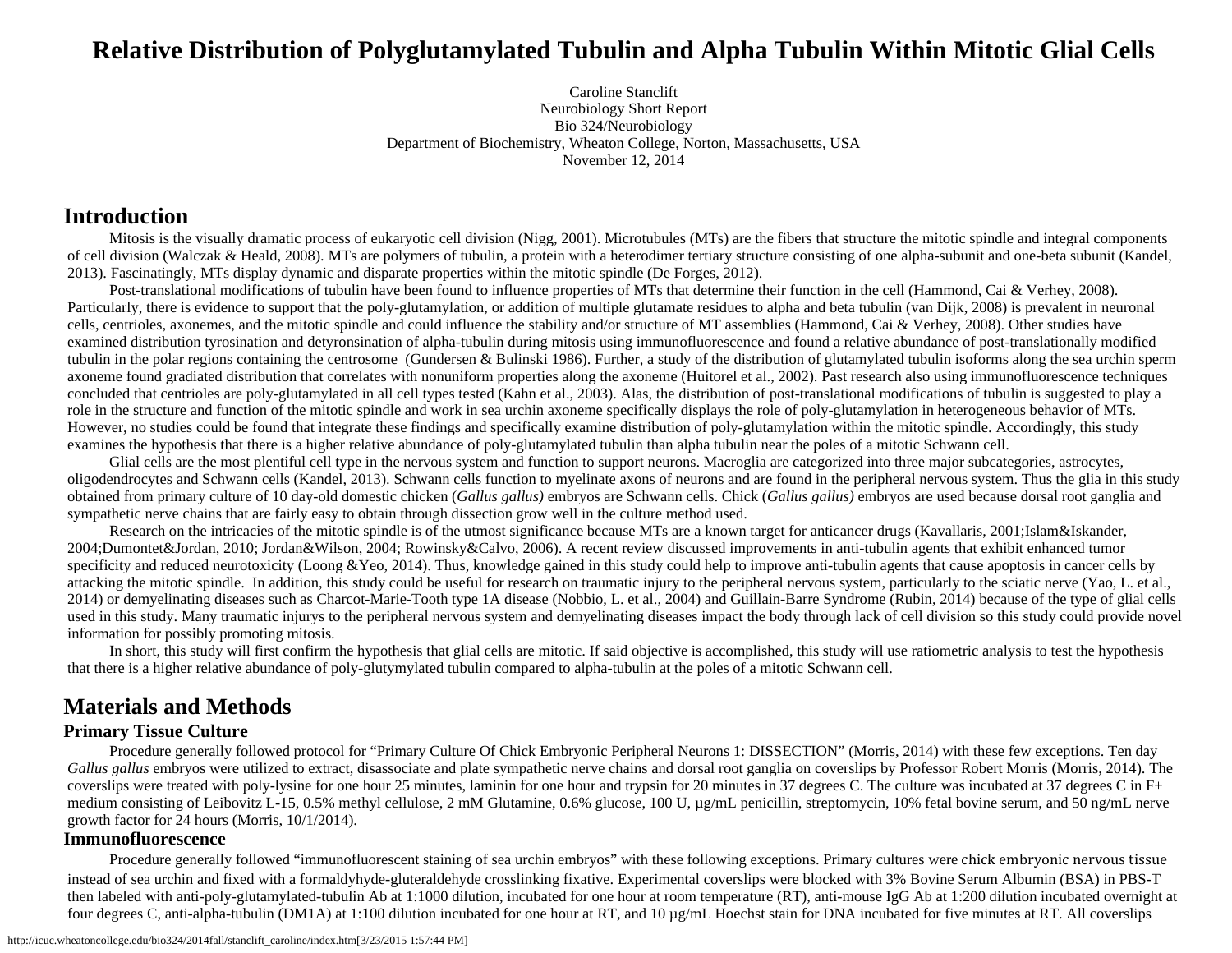# **Relative Distribution of Polyglutamylated Tubulin and Alpha Tubulin Within Mitotic Glial Cells**

Caroline Stanclift Neurobiology Short Report Bio 324/Neurobiology Department of Biochemistry, Wheaton College, Norton, Massachusetts, USA November 12, 2014

### **Introduction**

Mitosis is the visually dramatic process of eukaryotic cell division (Nigg, 2001). Microtubules (MTs) are the fibers that structure the mitotic spindle and integral components of cell division (Walczak & Heald, 2008). MTs are polymers of tubulin, a protein with a heterodimer tertiary structure consisting of one alpha-subunit and one-beta subunit (Kandel, 2013). Fascinatingly, MTs display dynamic and disparate properties within the mitotic spindle (De Forges, 2012).

Post-translational modifications of tubulin have been found to influence properties of MTs that determine their function in the cell (Hammond, Cai & Verhey, 2008). Particularly, there is evidence to support that the poly-glutamylation, or addition of multiple glutamate residues to alpha and beta tubulin (van Dijk, 2008) is prevalent in neuronal cells, centrioles, axonemes, and the mitotic spindle and could influence the stability and/or structure of MT assemblies (Hammond, Cai & Verhey, 2008). Other studies have examined distribution tyrosination and detyronsination of alpha-tubulin during mitosis using immunofluorescence and found a relative abundance of post-translationally modified tubulin in the polar regions containing the centrosome (Gundersen & Bulinski 1986). Further, a study of the distribution of glutamylated tubulin isoforms along the sea urchin sperm axoneme found gradiated distribution that correlates with nonuniform properties along the axoneme (Huitorel et al., 2002). Past research also using immunofluorescence techniques concluded that centrioles are poly-glutamylated in all cell types tested (Kahn et al., 2003). Alas, the distribution of post-translational modifications of tubulin is suggested to play a role in the structure and function of the mitotic spindle and work in sea urchin axoneme specifically displays the role of poly-glutamylation in heterogeneous behavior of MTs. However, no studies could be found that integrate these findings and specifically examine distribution of poly-glutamylation within the mitotic spindle. Accordingly, this study examines the hypothesis that there is a higher relative abundance of poly-glutamylated tubulin than alpha tubulin near the poles of a mitotic Schwann cell.

Glial cells are the most plentiful cell type in the nervous system and function to support neurons. Macroglia are categorized into three major subcategories, astrocytes, oligodendrocytes and Schwann cells (Kandel, 2013). Schwann cells function to myelinate axons of neurons and are found in the peripheral nervous system. Thus the glia in this study obtained from primary culture of 10 day-old domestic chicken (*Gallus gallus)* embryos are Schwann cells. Chick (*Gallus gallus)* embryos are used because dorsal root ganglia and sympathetic nerve chains that are fairly easy to obtain through dissection grow well in the culture method used.

Research on the intricacies of the mitotic spindle is of the utmost significance because MTs are a known target for anticancer drugs (Kavallaris, 2001;Islam&Iskander, 2004;Dumontet&Jordan, 2010; Jordan&Wilson, 2004; Rowinsky&Calvo, 2006). A recent review discussed improvements in anti-tubulin agents that exhibit enhanced tumor specificity and reduced neurotoxicity (Loong &Yeo, 2014). Thus, knowledge gained in this study could help to improve anti-tubulin agents that cause apoptosis in cancer cells by attacking the mitotic spindle. In addition, this study could be useful for research on traumatic injury to the peripheral nervous system, particularly to the sciatic nerve (Yao, L. et al., 2014) or demyelinating diseases such as Charcot-Marie-Tooth type 1A disease (Nobbio, L. et al., 2004) and Guillain-Barre Syndrome (Rubin, 2014) because of the type of glial cells used in this study. Many traumatic injurys to the peripheral nervous system and demyelinating diseases impact the body through lack of cell division so this study could provide novel information for possibly promoting mitosis.

In short, this study will first confirm the hypothesis that glial cells are mitotic. If said objective is accomplished, this study will use ratiometric analysis to test the hypothesis that there is a higher relative abundance of poly-glutymylated tubulin compared to alpha-tubulin at the poles of a mitotic Schwann cell.

# **Materials and Methods**

### **Primary Tissue Culture**

Procedure generally followed protocol for "Primary Culture Of Chick Embryonic Peripheral Neurons 1: DISSECTION" (Morris, 2014) with these few exceptions. Ten day Gallus gallus embryos were utilized to extract, disassociate and plate sympathetic nerve chains and dorsal root ganglia on coverslips by Professor Robert Morris (Morris, 2014). The coverslips were treated with poly-lysine for one hour 25 minutes, laminin for one hour and trypsin for 20 minutes in 37 degrees C. The culture was incubated at 37 degrees C in F+ medium consisting of Leibovitz L-15, 0.5% methyl cellulose, 2 mM Glutamine, 0.6% glucose, 100 U, µg/mL penicillin, streptomycin, 10% fetal bovine serum, and 50 ng/mL nerve growth factor for 24 hours (Morris, 10/1/2014).

### **Immunofluorescence**

Procedure generally followed "immunofluorescent staining of sea urchin embryos" with these following exceptions. Primary cultures were chick embryonic nervous tissue instead of sea urchin and fixed with a formaldyhyde-gluteraldehyde crosslinking fixative. Experimental coverslips were blocked with 3% Bovine Serum Albumin (BSA) in PBS-T then labeled with anti-poly-glutamylated-tubulin Ab at 1:1000 dilution, incubated for one hour at room temperature (RT), anti-mouse IgG Ab at 1:200 dilution incubated overnight at four degrees C, anti-alpha-tubulin (DM1A) at 1:100 dilution incubated for one hour at RT, and 10 µg/mL Hoechst stain for DNA incubated for five minutes at RT. All coverslips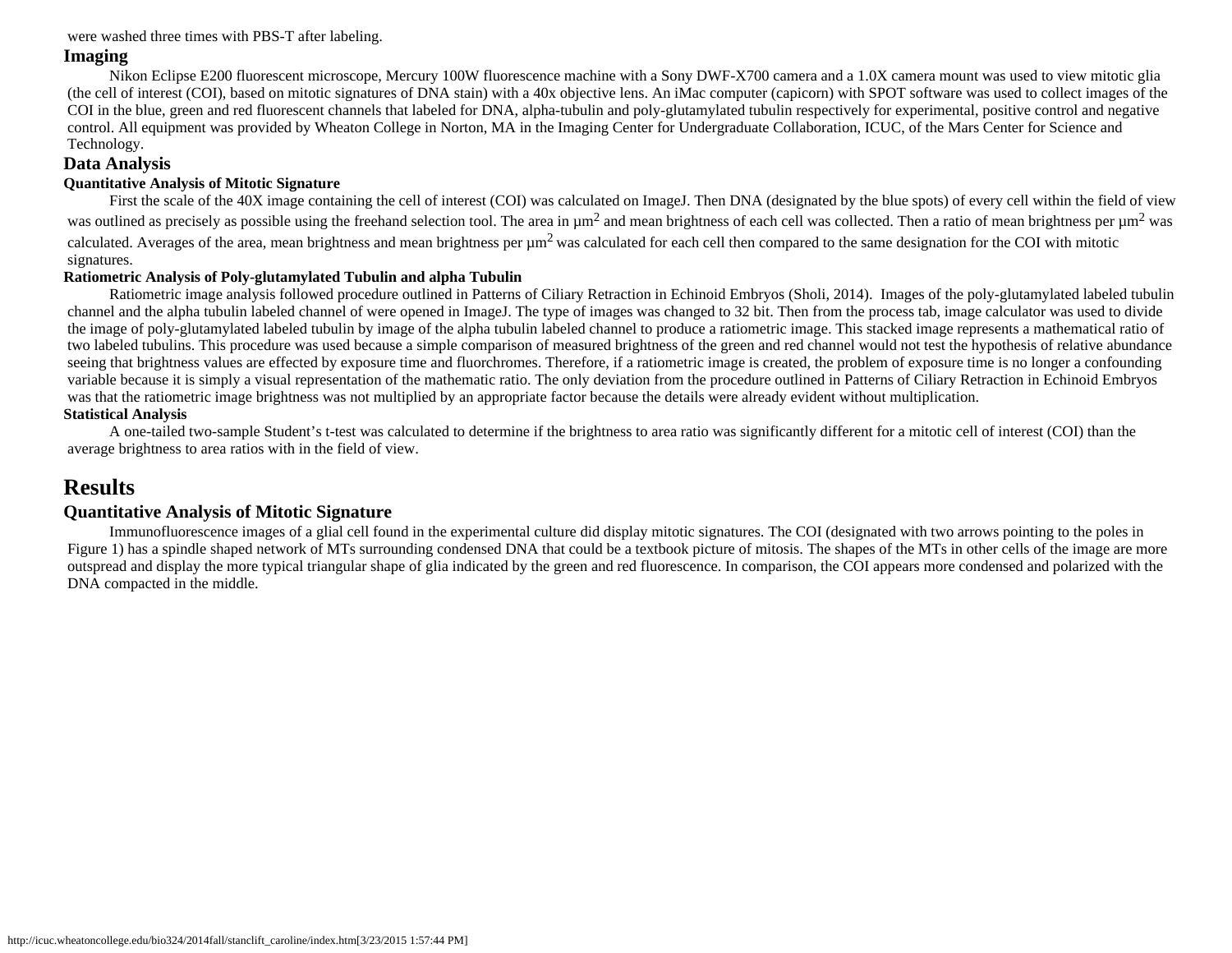were washed three times with PBS-T after labeling.

### **Imaging**

Nikon Eclipse E200 fluorescent microscope, Mercury 100W fluorescence machine with a Sony DWF-X700 camera and a 1.0X camera mount was used to view mitotic glia (the cell of interest (COI), based on mitotic signatures of DNA stain) with a 40x objective lens. An iMac computer (capicorn) with SPOT software was used to collect images of the COI in the blue, green and red fluorescent channels that labeled for DNA, alpha-tubulin and poly-glutamylated tubulin respectively for experimental, positive control and negative control. All equipment was provided by Wheaton College in Norton, MA in the Imaging Center for Undergraduate Collaboration, ICUC, of the Mars Center for Science and Technology.

### **Data Analysis**

#### **Quantitative Analysis of Mitotic Signature**

First the scale of the 40X image containing the cell of interest (COI) was calculated on ImageJ. Then DNA (designated by the blue spots) of every cell within the field of view was outlined as precisely as possible using the freehand selection tool. The area in  $\mu$ m<sup>2</sup> and mean brightness of each cell was collected. Then a ratio of mean brightness per  $\mu$ m<sup>2</sup> was calculated. Averages of the area, mean brightness and mean brightness per  $\mu$ m<sup>2</sup> was calculated for each cell then compared to the same designation for the COI with mitotic signatures.

#### **Ratiometric Analysis of Poly-glutamylated Tubulin and alpha Tubulin**

Ratiometric image analysis followed procedure outlined in Patterns of Ciliary Retraction in Echinoid Embryos (Sholi, 2014). Images of the poly-glutamylated labeled tubulin channel and the alpha tubulin labeled channel of were opened in ImageJ. The type of images was changed to 32 bit. Then from the process tab, image calculator was used to divide the image of poly-glutamylated labeled tubulin by image of the alpha tubulin labeled channel to produce a ratiometric image. This stacked image represents a mathematical ratio of two labeled tubulins. This procedure was used because a simple comparison of measured brightness of the green and red channel would not test the hypothesis of relative abundance seeing that brightness values are effected by exposure time and fluorchromes. Therefore, if a ratiometric image is created, the problem of exposure time is no longer a confounding variable because it is simply a visual representation of the mathematic ratio. The only deviation from the procedure outlined in Patterns of Ciliary Retraction in Echinoid Embryos was that the ratiometric image brightness was not multiplied by an appropriate factor because the details were already evident without multiplication. **Statistical Analysis**

A one-tailed two-sample Student's t-test was calculated to determine if the brightness to area ratio was significantly different for a mitotic cell of interest (COI) than the average brightness to area ratios with in the field of view.

## **Results**

### **Quantitative Analysis of Mitotic Signature**

 Immunofluorescence images of a glial cell found in the experimental culture did display mitotic signatures. The COI (designated with two arrows pointing to the poles in Figure 1) has a spindle shaped network of MTs surrounding condensed DNA that could be a textbook picture of mitosis. The shapes of the MTs in other cells of the image are more outspread and display the more typical triangular shape of glia indicated by the green and red fluorescence. In comparison, the COI appears more condensed and polarized with the DNA compacted in the middle.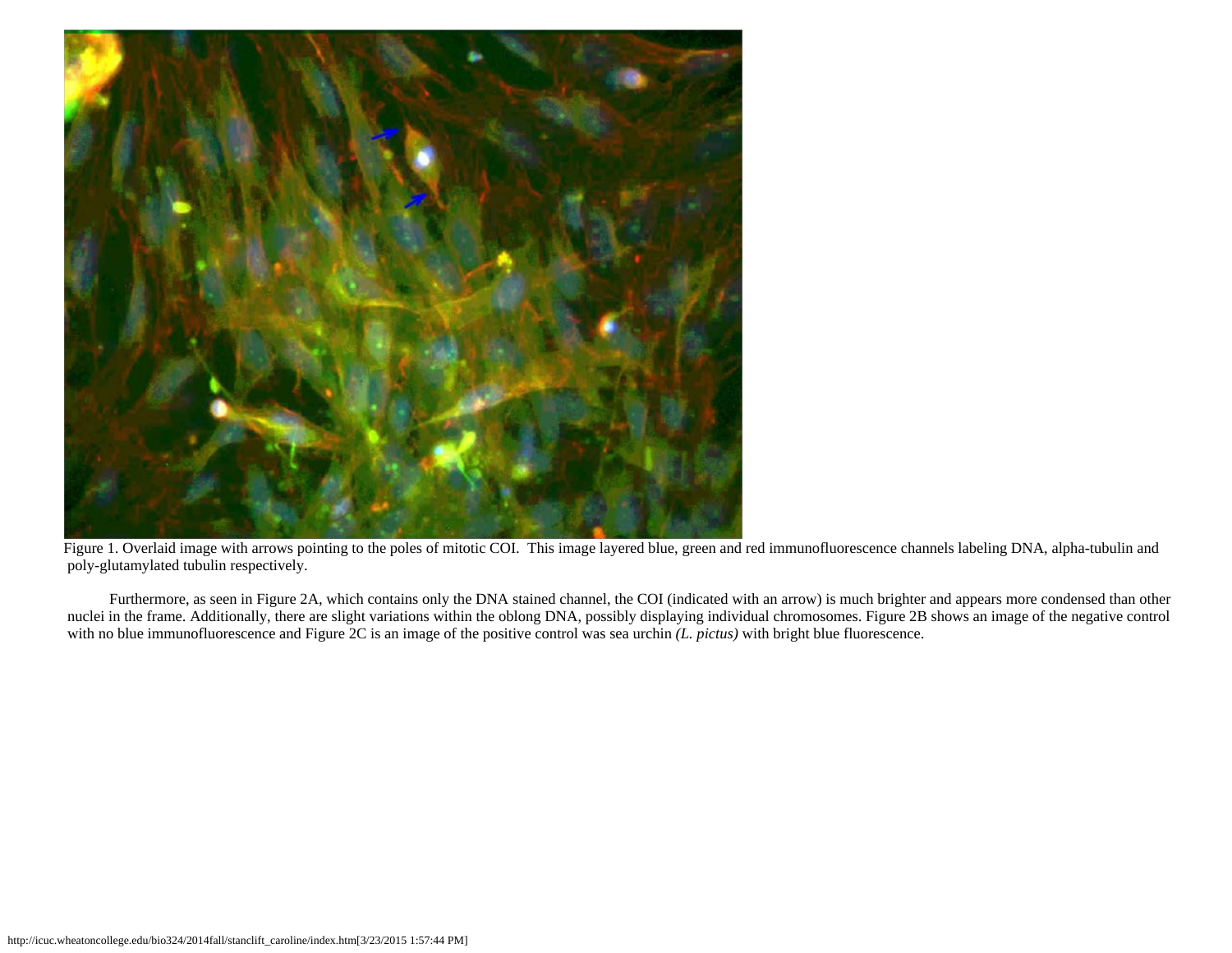

Figure 1. Overlaid image with arrows pointing to the poles of mitotic COI. This image layered blue, green and red immunofluorescence channels labeling DNA, alpha-tubulin and poly-glutamylated tubulin respectively.

Furthermore, as seen in Figure 2A, which contains only the DNA stained channel, the COI (indicated with an arrow) is much brighter and appears more condensed than other nuclei in the frame. Additionally, there are slight variations within the oblong DNA, possibly displaying individual chromosomes. Figure 2B shows an image of the negative control with no blue immunofluorescence and Figure 2C is an image of the positive control was sea urchin *(L. pictus)* with bright blue fluorescence.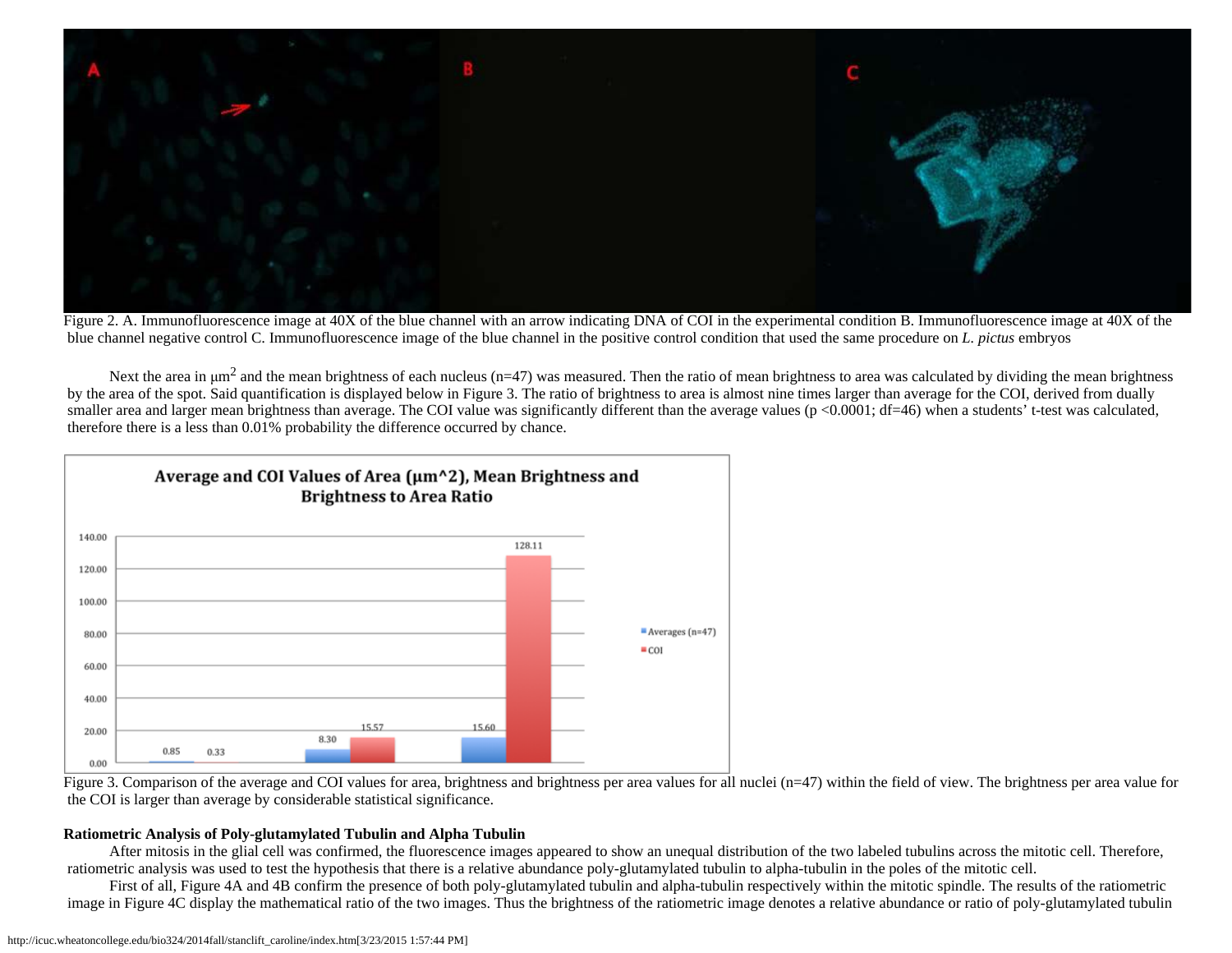

Figure 2. A. Immunofluorescence image at 40X of the blue channel with an arrow indicating DNA of COI in the experimental condition B. Immunofluorescence image at 40X of the blue channel negative control C. Immunofluorescence image of the blue channel in the positive control condition that used the same procedure on *L. pictus* embryos

Next the area in  $\mu$ m<sup>2</sup> and the mean brightness of each nucleus (n=47) was measured. Then the ratio of mean brightness to area was calculated by dividing the mean brightness by the area of the spot. Said quantification is displayed below in Figure 3. The ratio of brightness to area is almost nine times larger than average for the COI, derived from dually smaller area and larger mean brightness than average. The COI value was significantly different than the average values (p <0.0001; df=46) when a students' t-test was calculated, therefore there is a less than 0.01% probability the difference occurred by chance.





#### **Ratiometric Analysis of Poly-glutamylated Tubulin and Alpha Tubulin**

 After mitosis in the glial cell was confirmed, the fluorescence images appeared to show an unequal distribution of the two labeled tubulins across the mitotic cell. Therefore, ratiometric analysis was used to test the hypothesis that there is a relative abundance poly-glutamylated tubulin to alpha-tubulin in the poles of the mitotic cell.

 First of all, Figure 4A and 4B confirm the presence of both poly-glutamylated tubulin and alpha-tubulin respectively within the mitotic spindle. The results of the ratiometric image in Figure 4C display the mathematical ratio of the two images. Thus the brightness of the ratiometric image denotes a relative abundance or ratio of poly-glutamylated tubulin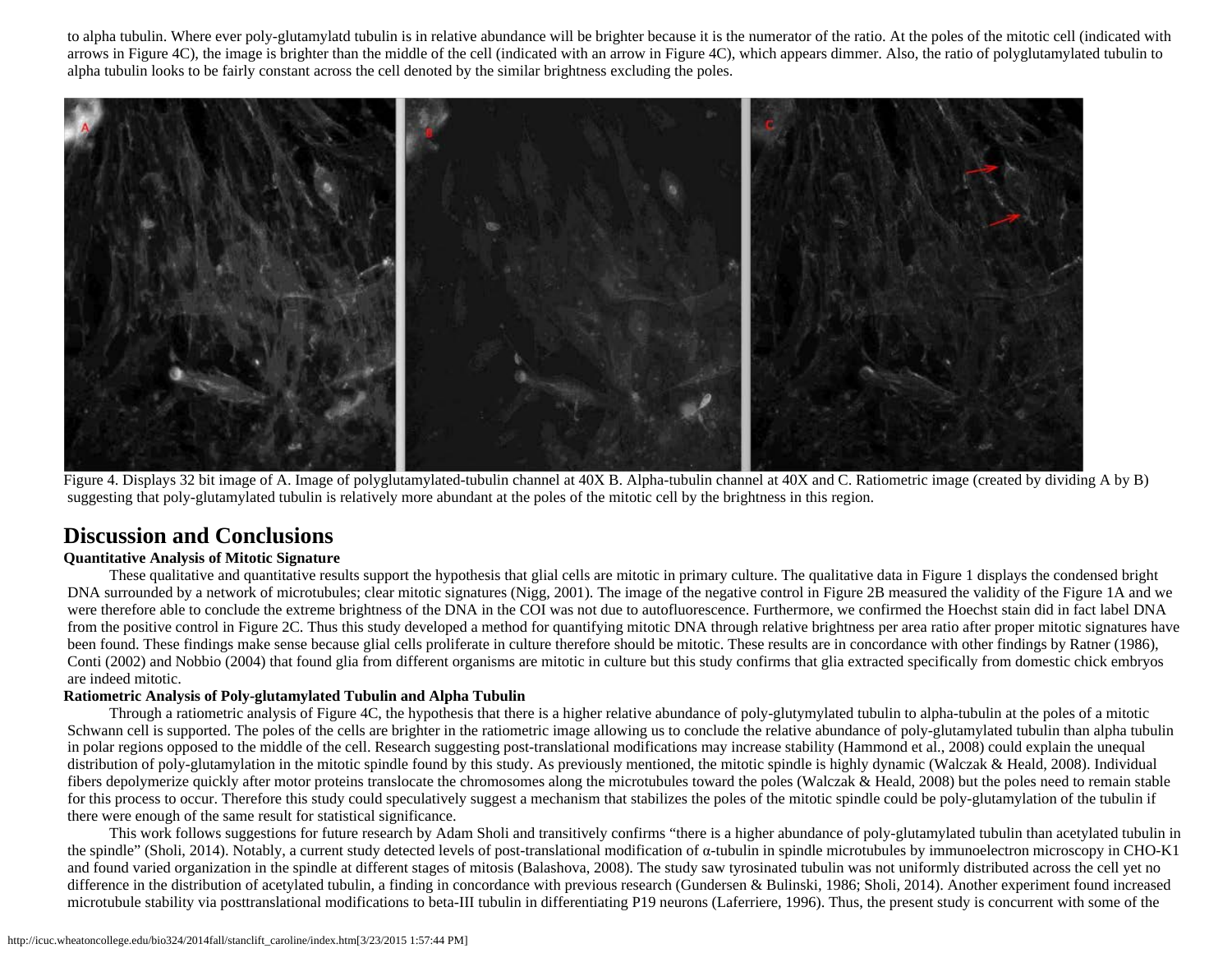to alpha tubulin. Where ever poly-glutamylatd tubulin is in relative abundance will be brighter because it is the numerator of the ratio. At the poles of the mitotic cell (indicated with arrows in Figure 4C), the image is brighter than the middle of the cell (indicated with an arrow in Figure 4C), which appears dimmer. Also, the ratio of polyglutamylated tubulin to alpha tubulin looks to be fairly constant across the cell denoted by the similar brightness excluding the poles.



Figure 4. Displays 32 bit image of A. Image of polyglutamylated-tubulin channel at 40X B. Alpha-tubulin channel at 40X and C. Ratiometric image (created by dividing A by B) suggesting that poly-glutamylated tubulin is relatively more abundant at the poles of the mitotic cell by the brightness in this region.

## **Discussion and Conclusions**

#### **Quantitative Analysis of Mitotic Signature**

 These qualitative and quantitative results support the hypothesis that glial cells are mitotic in primary culture. The qualitative data in Figure 1 displays the condensed bright DNA surrounded by a network of microtubules; clear mitotic signatures (Nigg, 2001). The image of the negative control in Figure 2B measured the validity of the Figure 1A and we were therefore able to conclude the extreme brightness of the DNA in the COI was not due to autofluorescence. Furthermore, we confirmed the Hoechst stain did in fact label DNA from the positive control in Figure 2C. Thus this study developed a method for quantifying mitotic DNA through relative brightness per area ratio after proper mitotic signatures have been found. These findings make sense because glial cells proliferate in culture therefore should be mitotic. These results are in concordance with other findings by Ratner (1986), Conti (2002) and Nobbio (2004) that found glia from different organisms are mitotic in culture but this study confirms that glia extracted specifically from domestic chick embryos are indeed mitotic.

#### **Ratiometric Analysis of Poly-glutamylated Tubulin and Alpha Tubulin**

Through a ratiometric analysis of Figure 4C, the hypothesis that there is a higher relative abundance of poly-glutymylated tubulin to alpha-tubulin at the poles of a mitotic Schwann cell is supported. The poles of the cells are brighter in the ratiometric image allowing us to conclude the relative abundance of poly-glutamylated tubulin than alpha tubulin in polar regions opposed to the middle of the cell. Research suggesting post-translational modifications may increase stability (Hammond et al., 2008) could explain the unequal distribution of poly-glutamylation in the mitotic spindle found by this study. As previously mentioned, the mitotic spindle is highly dynamic (Walczak & Heald, 2008). Individual fibers depolymerize quickly after motor proteins translocate the chromosomes along the microtubules toward the poles (Walczak & Heald, 2008) but the poles need to remain stable for this process to occur. Therefore this study could speculatively suggest a mechanism that stabilizes the poles of the mitotic spindle could be poly-glutamylation of the tubulin if there were enough of the same result for statistical significance.

This work follows suggestions for future research by Adam Sholi and transitively confirms "there is a higher abundance of poly-glutamylated tubulin than acetylated tubulin in the spindle" (Sholi, 2014). Notably, a current study detected levels of post-translational modification of α-tubulin in spindle microtubules by immunoelectron microscopy in CHO-K1 and found varied organization in the spindle at different stages of mitosis (Balashova, 2008). The study saw tyrosinated tubulin was not uniformly distributed across the cell yet no difference in the distribution of acetylated tubulin, a finding in concordance with previous research (Gundersen & Bulinski, 1986; Sholi, 2014). Another experiment found increased microtubule stability via posttranslational modifications to beta-III tubulin in differentiating P19 neurons (Laferriere, 1996). Thus, the present study is concurrent with some of the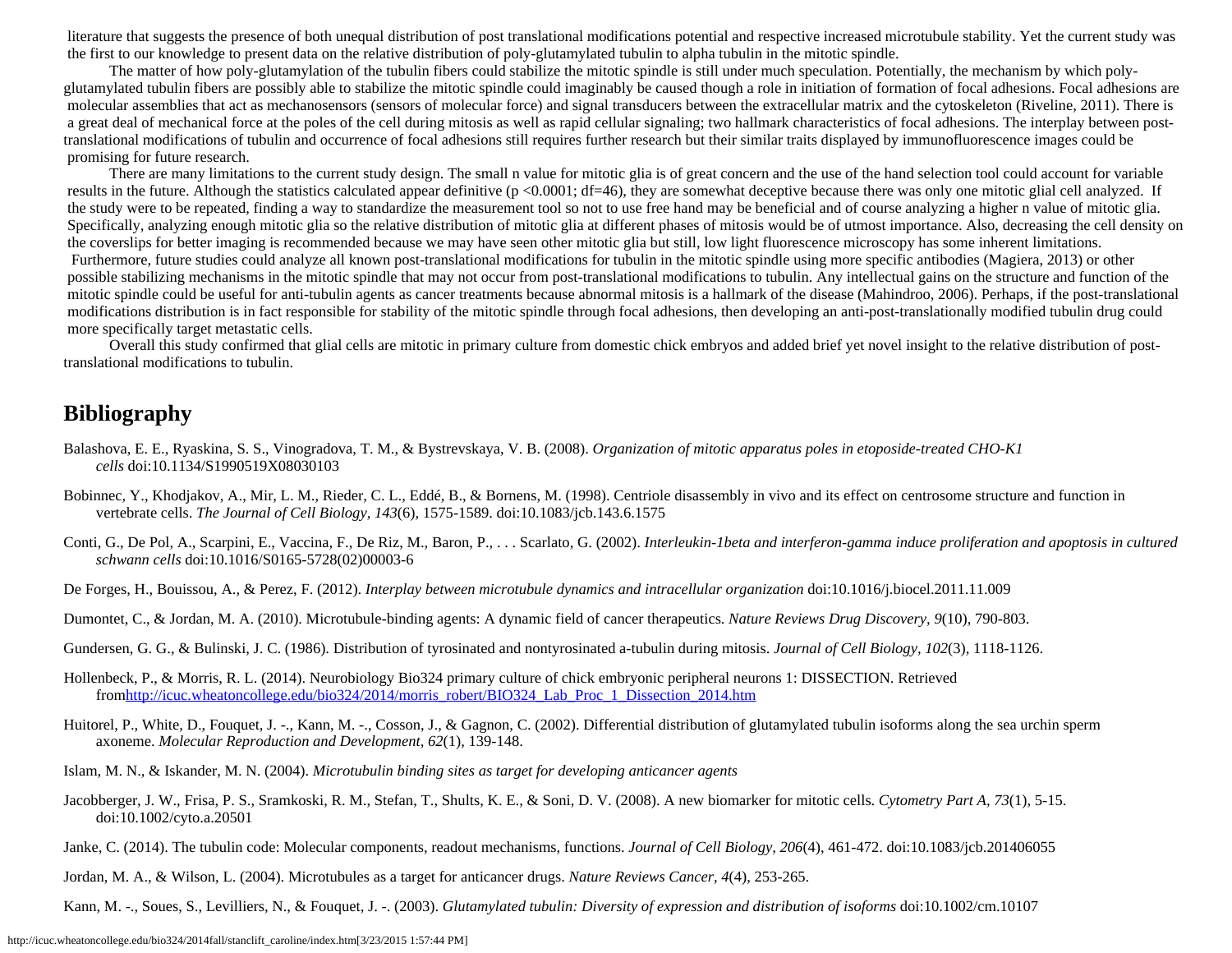literature that suggests the presence of both unequal distribution of post translational modifications potential and respective increased microtubule stability. Yet the current study was the first to our knowledge to present data on the relative distribution of poly-glutamylated tubulin to alpha tubulin in the mitotic spindle.

The matter of how poly-glutamylation of the tubulin fibers could stabilize the mitotic spindle is still under much speculation. Potentially, the mechanism by which polyglutamylated tubulin fibers are possibly able to stabilize the mitotic spindle could imaginably be caused though a role in initiation of formation of focal adhesions. Focal adhesions are molecular assemblies that act as mechanosensors (sensors of molecular force) and signal transducers between the extracellular matrix and the cytoskeleton (Riveline, 2011). There is a great deal of mechanical force at the poles of the cell during mitosis as well as rapid cellular signaling; two hallmark characteristics of focal adhesions. The interplay between posttranslational modifications of tubulin and occurrence of focal adhesions still requires further research but their similar traits displayed by immunofluorescence images could be promising for future research.

There are many limitations to the current study design. The small n value for mitotic glia is of great concern and the use of the hand selection tool could account for variable results in the future. Although the statistics calculated appear definitive ( $p < 0.0001$ ; df=46), they are somewhat deceptive because there was only one mitotic glial cell analyzed. If the study were to be repeated, finding a way to standardize the measurement tool so not to use free hand may be beneficial and of course analyzing a higher n value of mitotic glia. Specifically, analyzing enough mitotic glia so the relative distribution of mitotic glia at different phases of mitosis would be of utmost importance. Also, decreasing the cell density on the coverslips for better imaging is recommended because we may have seen other mitotic glia but still, low light fluorescence microscopy has some inherent limitations. Furthermore, future studies could analyze all known post-translational modifications for tubulin in the mitotic spindle using more specific antibodies (Magiera, 2013) or other possible stabilizing mechanisms in the mitotic spindle that may not occur from post-translational modifications to tubulin. Any intellectual gains on the structure and function of the mitotic spindle could be useful for anti-tubulin agents as cancer treatments because abnormal mitosis is a hallmark of the disease (Mahindroo, 2006). Perhaps, if the post-translational modifications distribution is in fact responsible for stability of the mitotic spindle through focal adhesions, then developing an anti-post-translationally modified tubulin drug could more specifically target metastatic cells.

Overall this study confirmed that glial cells are mitotic in primary culture from domestic chick embryos and added brief yet novel insight to the relative distribution of posttranslational modifications to tubulin.

## **Bibliography**

- Balashova, E. E., Ryaskina, S. S., Vinogradova, T. M., & Bystrevskaya, V. B. (2008). *Organization of mitotic apparatus poles in etoposide-treated CHO-K1 cells* doi:10.1134/S1990519X08030103
- Bobinnec, Y., Khodjakov, A., Mir, L. M., Rieder, C. L., Eddé, B., & Bornens, M. (1998). Centriole disassembly in vivo and its effect on centrosome structure and function in vertebrate cells. *The Journal of Cell Biology, 143*(6), 1575-1589. doi:10.1083/jcb.143.6.1575
- Conti, G., De Pol, A., Scarpini, E., Vaccina, F., De Riz, M., Baron, P., . . . Scarlato, G. (2002). *Interleukin-1beta and interferon-gamma induce proliferation and apoptosis in cultured schwann cells* doi:10.1016/S0165-5728(02)00003-6
- De Forges, H., Bouissou, A., & Perez, F. (2012). *Interplay between microtubule dynamics and intracellular organization* doi:10.1016/j.biocel.2011.11.009
- Dumontet, C., & Jordan, M. A. (2010). Microtubule-binding agents: A dynamic field of cancer therapeutics. *Nature Reviews Drug Discovery, 9*(10), 790-803.
- Gundersen, G. G., & Bulinski, J. C. (1986). Distribution of tyrosinated and nontyrosinated a-tubulin during mitosis. *Journal of Cell Biology, 102*(3), 1118-1126.
- Hollenbeck, P., & Morris, R. L. (2014). Neurobiology Bio324 primary culture of chick embryonic peripheral neurons 1: DISSECTION. Retrieved fromhttp://icuc.wheatoncollege.edu/bio324/2014/morris\_robert/BIO324\_Lab\_Proc\_1\_Dissection\_2014.htm
- Huitorel, P., White, D., Fouquet, J. -., Kann, M. -., Cosson, J., & Gagnon, C. (2002). Differential distribution of glutamylated tubulin isoforms along the sea urchin sperm axoneme. *Molecular Reproduction and Development, 62*(1), 139-148.
- Islam, M. N., & Iskander, M. N. (2004). *Microtubulin binding sites as target for developing anticancer agents*
- Jacobberger, J. W., Frisa, P. S., Sramkoski, R. M., Stefan, T., Shults, K. E., & Soni, D. V. (2008). A new biomarker for mitotic cells. *Cytometry Part A, 73*(1), 5-15. doi:10.1002/cyto.a.20501
- Janke, C. (2014). The tubulin code: Molecular components, readout mechanisms, functions. *Journal of Cell Biology, 206*(4), 461-472. doi:10.1083/jcb.201406055
- Jordan, M. A., & Wilson, L. (2004). Microtubules as a target for anticancer drugs. *Nature Reviews Cancer, 4*(4), 253-265.
- Kann, M. -., Soues, S., Levilliers, N., & Fouquet, J. -. (2003). *Glutamylated tubulin: Diversity of expression and distribution of isoforms* doi:10.1002/cm.10107